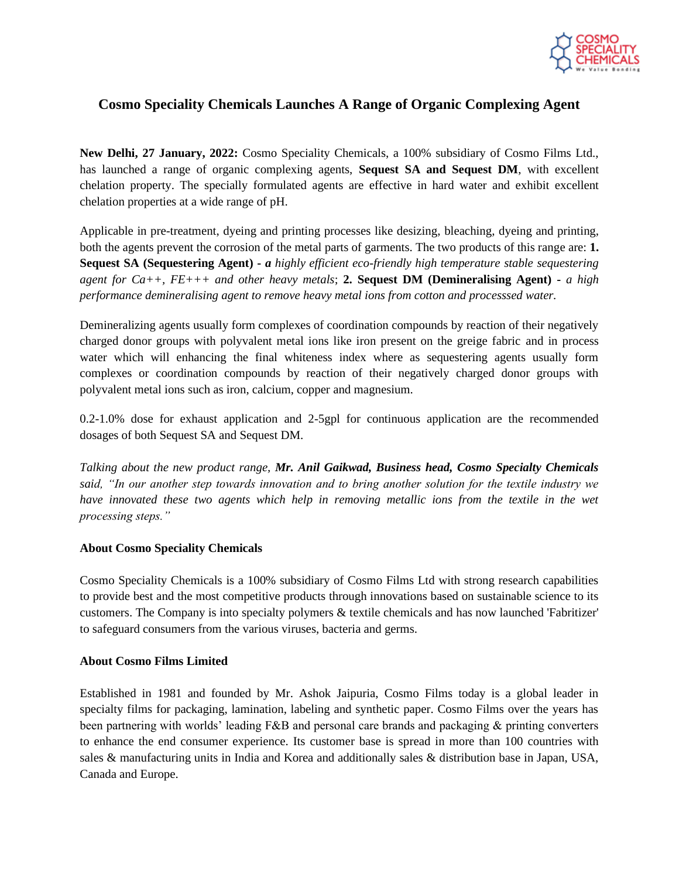

## **Cosmo Speciality Chemicals Launches A Range of Organic Complexing Agent**

**New Delhi, 27 January, 2022:** Cosmo Speciality Chemicals, a 100% subsidiary of Cosmo Films Ltd., has launched a range of organic complexing agents, **Sequest SA and Sequest DM**, with excellent chelation property. The specially formulated agents are effective in hard water and exhibit excellent chelation properties at a wide range of pH.

Applicable in pre-treatment, dyeing and printing processes like desizing, bleaching, dyeing and printing, both the agents prevent the corrosion of the metal parts of garments. The two products of this range are: **1. Sequest SA (Sequestering Agent) -** *a highly efficient eco-friendly high temperature stable sequestering agent for Ca++, FE+++ and other heavy metals*; **2. Sequest DM (Demineralising Agent) -** *a high performance demineralising agent to remove heavy metal ions from cotton and processsed water.*

Demineralizing agents usually form complexes of coordination compounds by reaction of their negatively charged donor groups with polyvalent metal ions like iron present on the greige fabric and in process water which will enhancing the final whiteness index where as sequestering agents usually form complexes or coordination compounds by reaction of their negatively charged donor groups with polyvalent metal ions such as iron, calcium, copper and magnesium.

0.2-1.0% dose for exhaust application and 2-5gpl for continuous application are the recommended dosages of both Sequest SA and Sequest DM.

*Talking about the new product range, Mr. Anil Gaikwad, Business head, Cosmo Specialty Chemicals said, "In our another step towards innovation and to bring another solution for the textile industry we have innovated these two agents which help in removing metallic ions from the textile in the wet processing steps."*

## **About Cosmo Speciality Chemicals**

Cosmo Speciality Chemicals is a 100% subsidiary of Cosmo Films Ltd with strong research capabilities to provide best and the most competitive products through innovations based on sustainable science to its customers. The Company is into specialty polymers & textile chemicals and has now launched 'Fabritizer' to safeguard consumers from the various viruses, bacteria and germs.

## **About Cosmo Films Limited**

Established in 1981 and founded by Mr. Ashok Jaipuria, Cosmo Films today is a global leader in specialty films for packaging, lamination, labeling and synthetic paper. Cosmo Films over the years has been partnering with worlds' leading F&B and personal care brands and packaging & printing converters to enhance the end consumer experience. Its customer base is spread in more than 100 countries with sales & manufacturing units in India and Korea and additionally sales & distribution base in Japan, USA, Canada and Europe.